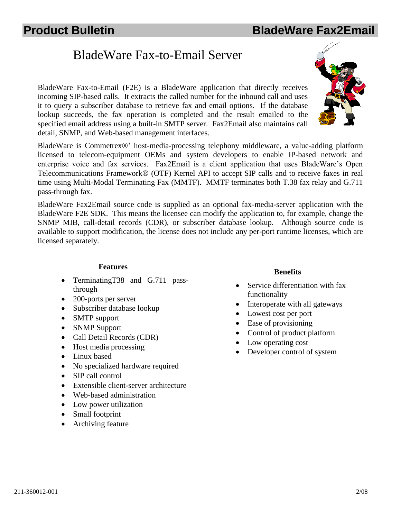# BladeWare Fax-to-Email Server

BladeWare Fax-to-Email (F2E) is a BladeWare application that directly receives incoming SIP-based calls. It extracts the called number for the inbound call and uses it to query a subscriber database to retrieve fax and email options. If the database lookup succeeds, the fax operation is completed and the result emailed to the specified email address using a built-in SMTP server. Fax2Email also maintains call detail, SNMP, and Web-based management interfaces.

BladeWare is Commetrex®' host-media-processing telephony middleware, a value-adding platform licensed to telecom-equipment OEMs and system developers to enable IP-based network and enterprise voice and fax services. Fax2Email is a client application that uses BladeWare's Open Telecommunications Framework® (OTF) Kernel API to accept SIP calls and to receive faxes in real time using Multi-Modal Terminating Fax (MMTF). MMTF terminates both T.38 fax relay and G.711 pass-through fax.

BladeWare Fax2Email source code is supplied as an optional fax-media-server application with the BladeWare F2E SDK. This means the licensee can modify the application to, for example, change the SNMP MIB, call-detail records (CDR), or subscriber database lookup. Although source code is available to support modification, the license does not include any per-port runtime licenses, which are licensed separately.

### **Features**

- TerminatingT38 and G.711 passthrough
- 200-ports per server
- Subscriber database lookup
- SMTP support
- SNMP Support
- Call Detail Records (CDR)
- Host media processing
- Linux based
- No specialized hardware required
- SIP call control
- Extensible client-server architecture
- Web-based administration
- Low power utilization
- Small footprint
- Archiving feature

### **Benefits**

- Service differentiation with fax functionality
- Interoperate with all gateways
- Lowest cost per port
- Ease of provisioning
- Control of product platform
- Low operating cost
- Developer control of system

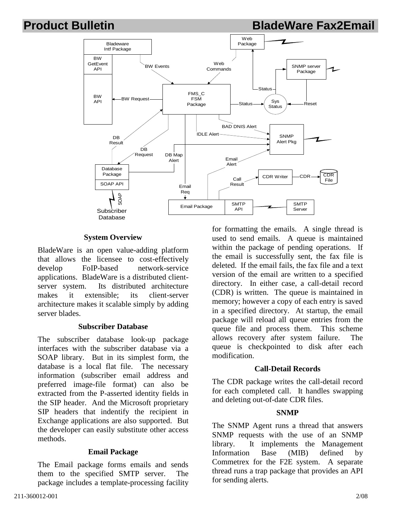## **Product Bulletin BladeWare Fax2Email**



### **System Overview**

BladeWare is an open value-adding platform that allows the licensee to cost-effectively develop FoIP-based network-service applications. BladeWare is a distributed clientserver system. Its distributed architecture makes it extensible; its client-server architecture makes it scalable simply by adding server blades.

#### **Subscriber Database**

The subscriber database look-up package interfaces with the subscriber database via a SOAP library. But in its simplest form, the database is a local flat file. The necessary information (subscriber email address and preferred image-file format) can also be extracted from the P-asserted identity fields in the SIP header. And the Microsoft proprietary SIP headers that indentify the recipient in Exchange applications are also supported. But the developer can easily substitute other access methods.

#### **Email Package**

The Email package forms emails and sends them to the specified SMTP server. The package includes a template-processing facility

2/08 2001 2001 2001 2008 2008 2012 2020 2031 2040 2040 2051 2062 207 208 209 2008 2014 2020 2031 2040 2040 204

for formatting the emails. A single thread is used to send emails. A queue is maintained within the package of pending operations. If the email is successfully sent, the fax file is deleted. If the email fails, the fax file and a text version of the email are written to a specified directory. In either case, a call-detail record (CDR) is written. The queue is maintained in memory; however a copy of each entry is saved in a specified directory. At startup, the email package will reload all queue entries from the queue file and process them. This scheme allows recovery after system failure. The queue is checkpointed to disk after each modification.

#### **Call-Detail Records**

The CDR package writes the call-detail record for each completed call. It handles swapping and deleting out-of-date CDR files.

#### **SNMP**

The SNMP Agent runs a thread that answers SNMP requests with the use of an SNMP library. It implements the Management Information Base (MIB) defined by Commetrex for the F2E system. A separate thread runs a trap package that provides an API for sending alerts.